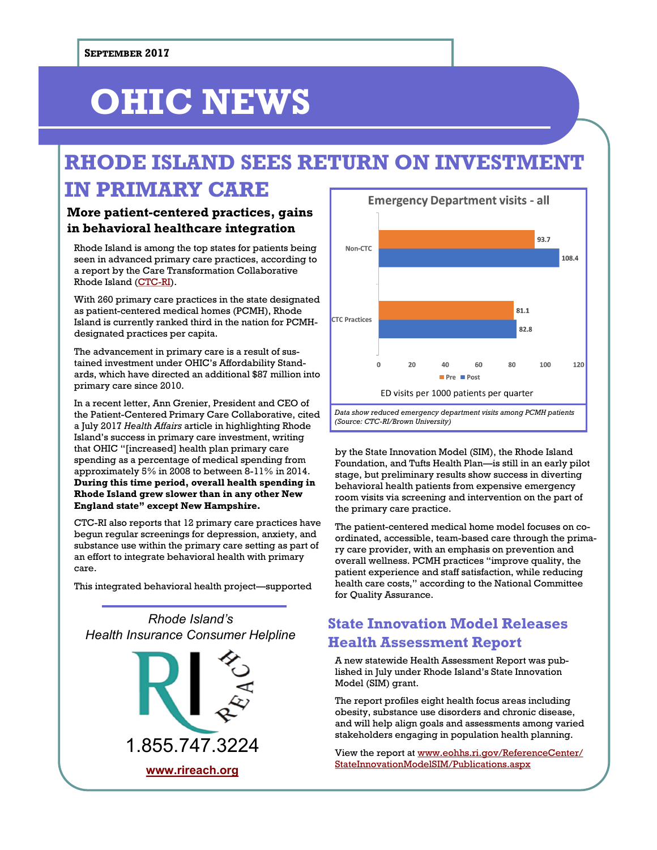# **OHIC NEWS**

# **RHODE ISLAND SEES RETURN ON INVESTMENT IN PRIMARY CARE**

### **More patient-centered practices, gains in behavioral healthcare integration**

Rhode Island is among the top states for patients being seen in advanced primary care practices, according to a report by the Care Transformation Collaborative Rhode Island ([CTC-RI\)](https://www.ctc-ri.org/).

With 260 primary care practices in the state designated as patient-centered medical homes (PCMH), Rhode Island is currently ranked third in the nation for PCMHdesignated practices per capita.

The advancement in primary care is a result of sustained investment under OHIC's Affordability Standards, which have directed an additional \$87 million into primary care since 2010.

In a recent letter, Ann Grenier, President and CEO of the Patient-Centered Primary Care Collaborative, cited a July 2017 *Health Affairs* article in highlighting Rhode Island's success in primary care investment, writing that OHIC "[increased] health plan primary care spending as a percentage of medical spending from approximately 5% in 2008 to between 8-11% in 2014. **During this time period, overall health spending in Rhode Island grew slower than in any other New England state" except New Hampshire.** 

CTC-RI also reports that 12 primary care practices have begun regular screenings for depression, anxiety, and substance use within the primary care setting as part of an effort to integrate behavioral health with primary care.

This integrated behavioral health project—supported

*Rhode Island's Health Insurance Consumer Helpline* 1.855.747.3224 **[www.rireach.org](http://www.rireach.org)**



*Data show reduced emergency department visits among PCMH patients (Source: CTC-RI/Brown University)*

by the State Innovation Model (SIM), the Rhode Island Foundation, and Tufts Health Plan—is still in an early pilot stage, but preliminary results show success in diverting behavioral health patients from expensive emergency room visits via screening and intervention on the part of the primary care practice.

The patient-centered medical home model focuses on coordinated, accessible, team-based care through the primary care provider, with an emphasis on prevention and overall wellness. PCMH practices "improve quality, the patient experience and staff satisfaction, while reducing health care costs," according to the National Committee for Quality Assurance.

### **State Innovation Model Releases Health Assessment Report**

A new statewide Health Assessment Report was published in July under Rhode Island's State Innovation Model (SIM) grant.

The report profiles eight health focus areas including obesity, substance use disorders and chronic disease, and will help align goals and assessments among varied stakeholders engaging in population health planning.

View the report at [www.eohhs.ri.gov/ReferenceCenter/](http://www.eohhs.ri.gov/ReferenceCenter/StateInnovationModelSIM/Publications.aspx) [StateInnovationModelSIM/Publications.aspx](http://www.eohhs.ri.gov/ReferenceCenter/StateInnovationModelSIM/Publications.aspx)